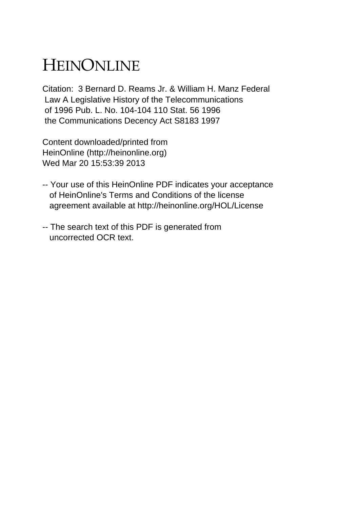# HEINONLINE

Citation: 3 Bernard D. Reams Jr. & William H. Manz Federal Law A Legislative History of the Telecommunications of 1996 Pub. L. No. 104-104 110 Stat. 56 1996 the Communications Decency Act S8183 1997

Content downloaded/printed from HeinOnline (http://heinonline.org) Wed Mar 20 15:53:39 2013

- -- Your use of this HeinOnline PDF indicates your acceptance of HeinOnline's Terms and Conditions of the license agreement available at http://heinonline.org/HOL/License
- -- The search text of this PDF is generated from uncorrected OCR text.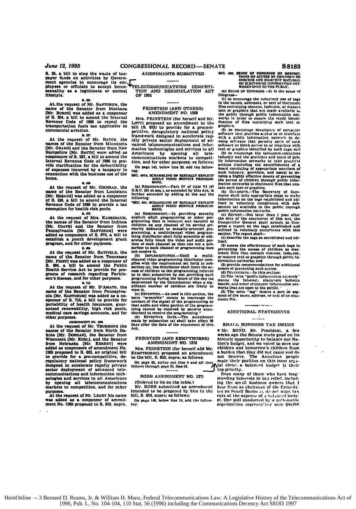8. 25. a bill to stop the waste of taxbe the finds on activities by Govern-<br>ment agencies to encourage its em-<br>playees or officials to accept homo-VTELECOMMUNICATIONS sexuality as a legitimate or normal lifestyle.

At the request of Mr. SANTORUM, the<br>name of the Senator from Montana main of the Senator from someoned the Internal Revenue Code of 1986 to repeat the Revenue Code of 1986 to repeat the transportation fuels tax applicable to commercial aviation.

### 8, 227

At the request of Mr. HATCH, the names of the Senator from Minnesota par. GRANS and the Senator from New Hampshire [Mr. SMTH] were added as<br>cosponsors of S. 327, a bill to amend the<br>Internal Revenue Code of 1986 to pro-<br>whete clarification for the deductibility<br>of expenses incurred by a tax connection with the business use of the home.

At the request of Mr. COCHRAN, the name of the Senator from Louisiana<br>[Mr. BREAUX] was added as a cosponsor of S. 539, a bill to amend the Internal<br>Revenue Code of 1986 to provide a tax exemption for health risk pools.

### $8.673$

At the request of Mrs. KASSEBAUM. At the request of the Senator from Indiana<br>IMr. Coars) and the Senator from<br>Pennsylvania [Mr. Sanronum] were<br>added as cosponsors of S. 673, a bill to establish a youth development grant<br>program, and for other purposes.

### $6.96$

At the request of Mr. HATFIELD, the name of the Senator from Tennessee name of the Senator from Tennessee<br>(Mr. Faisr) was added as a cosponsor of<br>S. 694, a bill to amend the Public<br>Health Service Act to provide for pro-<br>grams of research regarding Parkinson's disease, and for other purposes.

### **8.715**

a. 10<br>
At the request of Mr. D'AMATO, the<br>
name of the Senator from Pennsylva-<br>
nia [Mr. SANTORUM] was added as a co-<br>
sponsor of S. 715, a bill to provide for<br>
portability of health insurance, guar-<br>
anteed renewability, other purposes.

AMENDMENT NO. 1265<br>At the request of Mr. THURMOND the names of the Senator from North Dakota [Mr. DORGAN], the Senator from Wisconsin [Mr. KOHL], and the Senator from Nebraska [Mr. KERREY] were<br>added as cosponsors of amendment No.<br>1255 proposed to S. 652, an original bill Les proposed to S. tost, an original unit<br>to provide for a pro-competitive, de-<br>regulatory national policy framework<br>designed to accelerate rapidly private-<br>sector deployment of advanced tele-<br>communications and informatio nologies and services to all Americans<br>by opening all telecommunications markets to competition, and for other

purposes.<br>At the request of Mr. LEAHY his name was added as a cosponsor of amend-<br>ment No. 1265 proposed to S. 652, supra. **AMENDMENTS SUBMITTED** 

**COMPETI-**TION AND DEREGULATION ACT OF 1995

### FEINSTEIN (AND OTHERS) **AMENDMENT NO. 1269**

Mrs. FEINSTEIN (for herself and Mr. LOTT) proposed an aniendment to the<br>bill (S. 652) to provide for a procompetitive, deregulatory national policy<br>framework designed to accelerate rapidly private sector deployment of advanced telecommunications and information technologies and services to all Americans by opening all tele-<br>communications markets to competition, and for other purposes; as follows: On page 145, helow line 23, add the follow- $10<sup>2</sup>$ 

ELG.<br>SEC. 407A. SCRAMBLING OF SEXUALLY EXPLICIT<br>ADULT VIDEO SERVICE PROGRAM-<br>MING.

(a) REQUIRENT.--Part IV of title VI (47<br>U.S.C. 551 et acq.), as amended by this Act, is<br>further amended by adding at the end the following:

**SEC. 641, SCRAMBLING OF SEXUALLY EXPLICIT<br>SEC. 641, SCRAMBLING OF SERVICE PROGRAM**<br>MING,

REQUIREMENT.--In providing sexually (a) Expiratement properties of the explicit addit programming or other promining that is indeteent and harmful to children on any channel of its service primmining or children on any channel of its service primming, a mult erwise fully block the video and audit por-<br>tion of such channel so that one not a sub-<br>scriber to such channel or programming does not receive it.

COIVO IL.<br>- IMPLEMENTATION.—UDLII (b) IMPLE-MS-TRATION-C-Unitl a multilenoided polynomial distributor complete with the requirement set forch in subspace<br>section (a), the distributor com-<br>section (a), the distributor shall limit in sub-<br>cess of children t  $\overline{a}$  $\bullet$ muttiriaw it

view it.<br>
(c) DEFINITION.—As used is this section, the<br>
term "scramble" means to rearrange the<br>
content of the signal of the programming so<br>
that audio and video portion of the programming<br>
ming cannot be received by perso

solutions of the EVECTIVE DATE-The amendment<br>made by subsection (a) shall take effect 30<br>days after the date of the enactment of this. Act.

### FEINSTEIN (AND KEMPTHORNE) **AMENDMENT NO. 1270**

Mrs. FEINSTEIN (for herself and Mr. KEMPTHORNE) proposed an amendment<br>to the bill, S. 652, supra; as follows: On page 55, strike out line 4 and all that follows through page 55, line-12.

### ROBB AMENDMENT NO. 1271

(Ordered to lie on the table.)

Mr. ROBB submitted an amendment<br>intended to be proposed by him to the<br>bill, S. 652, supra; as follows:

On page 146, below line 14, add the follow- $10<sub>x</sub>$ 

**SEC. 400. SENSE OF CONGRESS ON RESTRICIONAL TIONS ON ACCESS BY CHILIDREY TO OTSCENS AND INDECEST MATERIAL ON SELCTION AND THE PUBLIC, WORKS OF AN INDICTATION AND THE PUBLIC,** 

(a) SENSE OF CONGRESS. - It is the sense of r.

congress-<br>(1) to encourage the voluntary use of tags<br>in the names, addresses, or text of electronic<br>files containing obseens, indecent, or mature<br>text or graphics that are made arailable to the public through public information net-<br>works in order to ensure the ready identi-<br>fication of files containing such text or graphies.

software that provides access to computer<br>software that provides access to or interface<br>with a public information network to de-<br>velop software that permits users of such<br>software to block access to or interface with graphics identified by such tags; and

text or graphics identified by such tage, and<br>to the concerned the behavior industry and the providers and users of public<br>influences the telecommunications industry and the providers and users<br>a consideration actions in t

mation networks to electronic flies that contains and the team of the state of regularity. (b) OLTHERT, the appropriate state is the spectrum information on the tags stabilished and utilized in voluntary compliance with a

lized:

(2) assess the effectiveness of such tags in (2) assess the effectiveness of such tags in<br>preventing the access of children to electronic files that contain observer. Index<br>ent, to electronic files that contain observer, index or matter text or graphics through publ

(d) DEFINITIONS.--In this section:<br>
(1) The term "public information notwork"<br>
means the Internet, electronic condition<br>
boards, and other electronic futurination net-

solvius, and other orientation increases works that are open to the public.<br>
(2) The term "tag" means a part or segment of the name, address, or text of an electronic file.

## **ADDITIONAL STATEMENTS**

### . . . . . . . .

SMALL RUSINESS TAX ISSUES

**.** Mr. BOND, Mr. President, a few weeks ago the Senate made good on its historic opportunity to balance our Nation's budget, and we voted to save our children and tomorrow's children from response to the they did not cause and do not desseve. The American people made their made their made their made their top priority.

Even many of those who have longstanding interests in tax relief, including the small business owners that I hear from as chairman of the Commit-<br>tee on Small Business, do not want fax<br>cuts at the expense of a balanced budget. One poll conducted by a nationwide organization representing over GD.050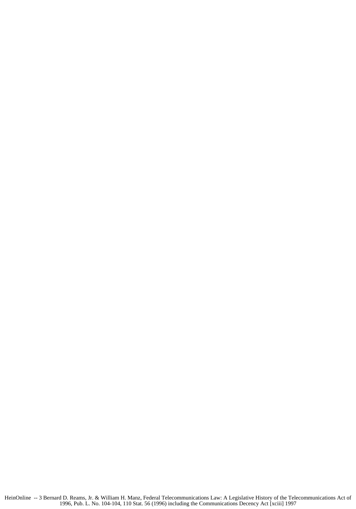HeinOnline -- 3 Bernard D. Reams, Jr. & William H. Manz, Federal Telecommunications Law: A Legislative History of the Telecommunications Act of 1996, Pub. L. No. 104-104, 110 Stat. 56 (1996) including the Communications Decency Act [xciii] 1997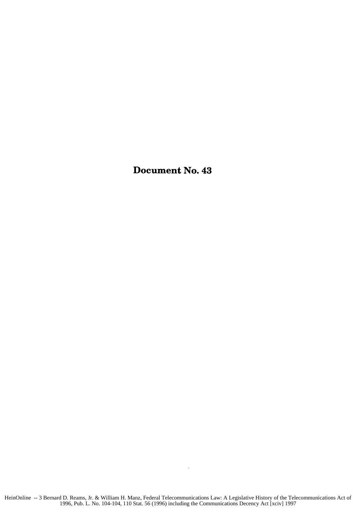Document No. 43

 $\bar{\lambda}$